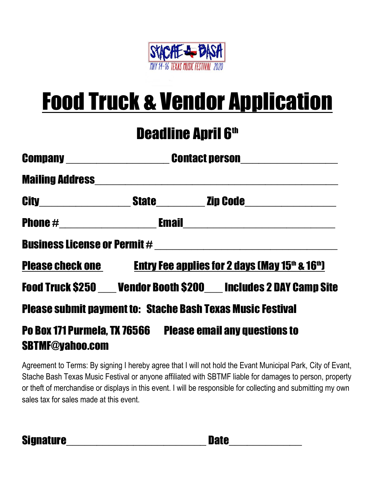

## Food Truck & Vendor Application

## **Deadline April 6th**

|                                                                                      | Company ______________________________Contact person____________________________ |  |                                                                             |
|--------------------------------------------------------------------------------------|----------------------------------------------------------------------------------|--|-----------------------------------------------------------------------------|
|                                                                                      |                                                                                  |  |                                                                             |
|                                                                                      |                                                                                  |  |                                                                             |
|                                                                                      |                                                                                  |  |                                                                             |
|                                                                                      |                                                                                  |  |                                                                             |
|                                                                                      |                                                                                  |  | Please check one Entry Fee applies for 2 days (May 15th & 16th)             |
|                                                                                      |                                                                                  |  | <b>Food Truck \$250 ___ Vendor Booth \$200 ___ Includes 2 DAY Camp Site</b> |
| <b>Please submit payment to: Stache Bash Texas Music Festival</b>                    |                                                                                  |  |                                                                             |
| Po Box 171 Purmela, TX 76566 Please email any questions to<br><b>SBTMF@yahoo.com</b> |                                                                                  |  |                                                                             |

Agreement to Terms: By signing I hereby agree that I will not hold the Evant Municipal Park, City of Evant, Stache Bash Texas Music Festival or anyone affiliated with SBTMF liable for damages to person, property or theft of merchandise or displays in this event. I will be responsible for collecting and submitting my own sales tax for sales made at this event.

Signature\_\_\_\_\_\_\_\_\_\_\_\_\_\_\_\_\_\_\_\_\_\_\_ Date\_\_\_\_\_\_\_\_\_\_\_\_